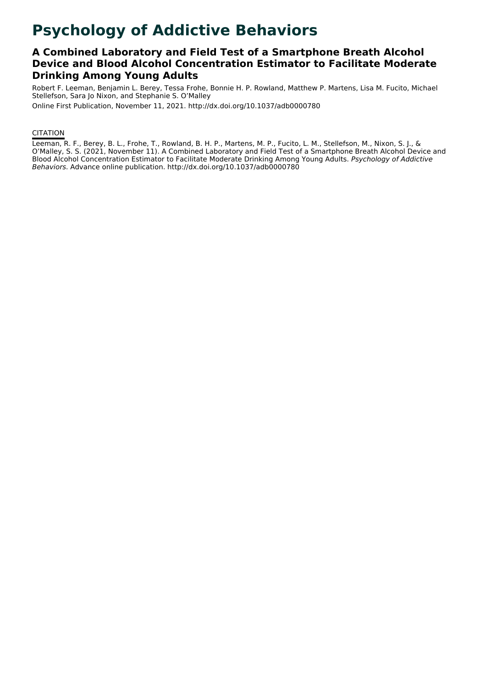# **Psychology of Addictive Behaviors**

### **A Combined Laboratory and Field Test of a Smartphone Breath Alcohol Device and Blood Alcohol Concentration Estimator to Facilitate Moderate Drinking Among Young Adults**

Robert F. Leeman, Benjamin L. Berey, Tessa Frohe, Bonnie H. P. Rowland, Matthew P. Martens, Lisa M. Fucito, Michael Stellefson, Sara Jo Nixon, and Stephanie S. O'Malley

Online First Publication, November 11, 2021. http://dx.doi.org/10.1037/adb0000780

#### **CITATION**

Leeman, R. F., Berey, B. L., Frohe, T., Rowland, B. H. P., Martens, M. P., Fucito, L. M., Stellefson, M., Nixon, S. J., & O'Malley, S. S. (2021, November 11). A Combined Laboratory and Field Test of a Smartphone Breath Alcohol Device and Blood Alcohol Concentration Estimator to Facilitate Moderate Drinking Among Young Adults. Psychology of Addictive Behaviors. Advance online publication. http://dx.doi.org/10.1037/adb0000780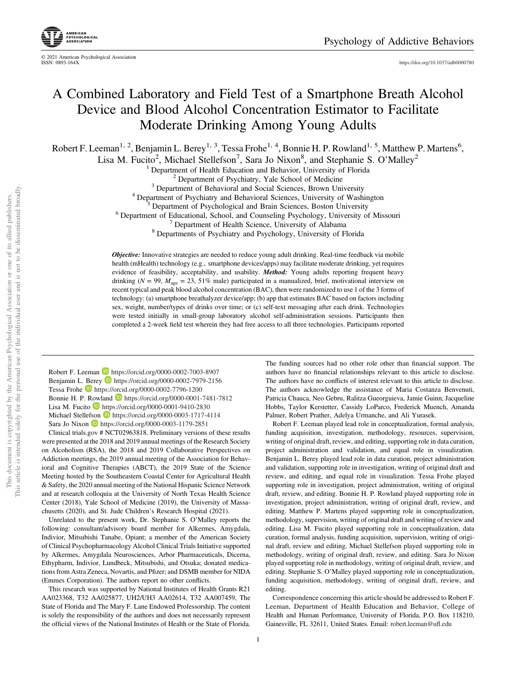

© 2021 American Psychological Association

<https://doi.org/10.1037/adb0000780>

## A Combined Laboratory and Field Test of a Smartphone Breath Alcohol Device and Blood Alcohol Concentration Estimator to Facilitate Moderate Drinking Among Young Adults

Robert F. Leeman<sup>1, 2</sup>, Benjamin L. Berey<sup>1, 3</sup>, Tessa Frohe<sup>1, 4</sup>, Bonnie H. P. Rowland<sup>1, 5</sup>, Matthew P. Martens<sup>6</sup>,

Lisa M. Fucito<sup>2</sup>, Michael Stellefson<sup>7</sup>, Sara Jo Nixon<sup>8</sup>, and Stephanie S. O'Malley<sup>2</sup>

<sup>1</sup> Department of Health Education and Behavior, University of Florida<br>
<sup>2</sup> Department of Psychiatry, Yale School of Medicine<br>
<sup>3</sup> Department of Behavioral and Social Sciences, Brown University<br>
<sup>4</sup> Department of Psychiat

**Objective:** Innovative strategies are needed to reduce young adult drinking. Real-time feedback via mobile health (mHealth) technology (e.g., smartphone devices/apps) may facilitate moderate drinking, yet requires evidence of feasibility, acceptability, and usability. Method: Young adults reporting frequent heavy drinking ( $N = 99$ ,  $M_{\text{age}} = 23$ , 51% male) participated in a manualized, brief, motivational interview on recent typical and peak blood alcohol concentration (BAC), then were randomized to use 1 of the 3 forms of technology: (a) smartphone breathalyzer device/app; (b) app that estimates BAC based on factors including sex, weight, number/types of drinks over time; or (c) self-text messaging after each drink. Technologies were tested initially in small-group laboratory alcohol self-administration sessions. Participants then completed a 2-week field test wherein they had free access to all three technologies. Participants reported

Robert F. Leeman D <https://orcid.org/0000-0002-7003-8907> Benjamin L. Berey **D** <https://orcid.org/0000-0002-7979-2156> Tessa Frohe <https://orcid.org/0000-0002-7796-1200> Bonnie H. P. Rowland D <https://orcid.org/0000-0001-7481-7812> Lisa M. Fucito D <https://orcid.org/0000-0001-9410-2830> Michael Stellefson <https://orcid.org/0000-0003-1717-4114> Sara Jo Nixon <https://orcid.org/0000-0003-1179-2851>

Clinical trials.gov # NCT02963818. Preliminary versions of these results were presented at the 2018 and 2019 annual meetings of the Research Society on Alcoholism (RSA), the 2018 and 2019 Collaborative Perspectives on Addiction meetings, the 2019 annual meeting of the Association for Behavioral and Cognitive Therapies (ABCT), the 2019 State of the Science Meeting hosted by the Southeastern Coastal Center for Agricultural Health & Safety, the 2020 annual meeting of the National Hispanic Science Network and at research colloquia at the University of North Texas Health Science Center (2018), Yale School of Medicine (2019), the University of Massachusetts (2020), and St. Jude Children's Research Hospital (2021).

Unrelated to the present work, Dr. Stephanie S. O'Malley reports the following: consultant/advisory board member for Alkermes, Amygdala, Indivior, Mitsubishi Tanabe, Opiant; a member of the American Society of Clinical Psychopharmacology Alcohol Clinical Trials Initiative supported by Alkermes, Amygdala Neurosciences, Arbor Pharmaceuticals, Dicerna, Ethypharm, Indivior, Lundbeck, Mitsubishi, and Otsuka; donated medications from Astra Zeneca, Novartis, and Pfizer; and DSMB member for NIDA (Emmes Corporation). The authors report no other conflicts.

This research was supported by National Institutes of Health Grants R21 AA023368, T32 AA025877, UH2/UH3 AA02614, T32 AA007459, The State of Florida and The Mary F. Lane Endowed Professorship. The content is solely the responsibility of the authors and does not necessarily represent the official views of the National Institutes of Health or the State of Florida.

This article is intended solely for the personal use of the individual user and is not to be disseminated broadly This article is intended solely for the personal use of the individual user and is not to be disseminated broadly. This document is copyrighted by the American Psychological Association or one of its allied publishers. This document is copyrighted by the American Psychological Association or one of its allied publishers.

The funding sources had no other role other than financial support. The authors have no financial relationships relevant to this article to disclose. The authors have no conflicts of interest relevant to this article to disclose. The authors acknowledge the assistance of Maria Costanza Benvenuti, Patricia Chauca, Neo Gebru, Ralitza Gueorguieva, Jamie Guinn, Jacqueline Hobbs, Taylor Kerstetter, Cassidy LoParco, Frederick Muench, Amanda Palmer, Robert Prather, Adelya Urmanche, and Ali Yurasek.

Robert F. Leeman played lead role in conceptualization, formal analysis, funding acquisition, investigation, methodology, resources, supervision, writing of original draft, review, and editing, supporting role in data curation, project administration and validation, and equal role in visualization. Benjamin L. Berey played lead role in data curation, project administration and validation, supporting role in investigation, writing of original draft and review, and editing, and equal role in visualization. Tessa Frohe played supporting role in investigation, project administration, writing of original draft, review, and editing. Bonnie H. P. Rowland played supporting role in investigation, project administration, writing of original draft, review, and editing. Matthew P. Martens played supporting role in conceptualization, methodology, supervision, writing of original draft and writing of review and editing. Lisa M. Fucito played supporting role in conceptualization, data curation, formal analysis, funding acquisition, supervision, writing of original draft, review and editing. Michael Stellefson played supporting role in methodology, writing of original draft, review, and editing. Sara Jo Nixon played supporting role in methodology, writing of original draft, review, and editing. Stephanie S. O'Malley played supporting role in conceptualization, funding acquisition, methodology, writing of original draft, review, and editing.

Correspondence concerning this article should be addressed to Robert F. Leeman, Department of Health Education and Behavior, College of Health and Human Performance, University of Florida, P.O. Box 118210, Gainesville, FL 32611, United States. Email: [robert.leeman@u](mailto:robert.leeman@ufl.edu)fl.edu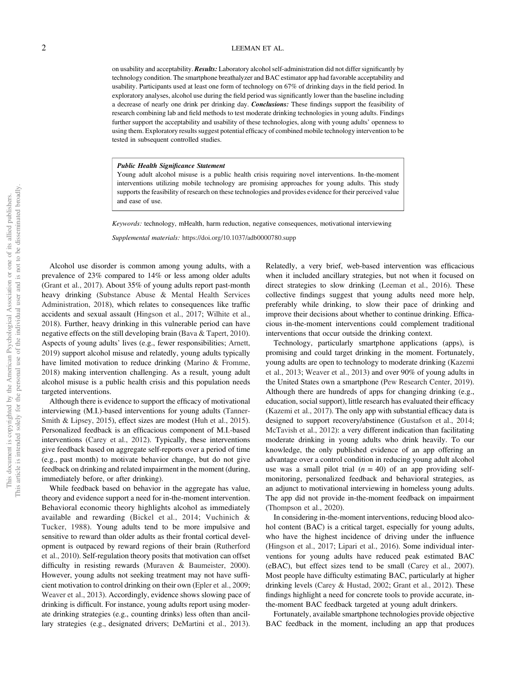#### 2 LEEMAN ET AL.

on usability and acceptability. **Results:** Laboratory alcohol self-administration did not differ significantly by technology condition. The smartphone breathalyzer and BAC estimator app had favorable acceptability and usability. Participants used at least one form of technology on 67% of drinking days in the field period. In exploratory analyses, alcohol use during the field period was significantly lower than the baseline including a decrease of nearly one drink per drinking day. Conclusions: These findings support the feasibility of research combining lab and field methods to test moderate drinking technologies in young adults. Findings further support the acceptability and usability of these technologies, along with young adults' openness to using them. Exploratory results suggest potential efficacy of combined mobile technology intervention to be tested in subsequent controlled studies.

#### Public Health Significance Statement

Young adult alcohol misuse is a public health crisis requiring novel interventions. In-the-moment interventions utilizing mobile technology are promising approaches for young adults. This study supports the feasibility of research on these technologies and provides evidence for their perceived value and ease of use.

Keywords: technology, mHealth, harm reduction, negative consequences, motivational interviewing

Supplemental materials: <https://doi.org/10.1037/adb0000780.supp>

Alcohol use disorder is common among young adults, with a prevalence of 23% compared to 14% or less among older adults (Grant et al., 2017). About 35% of young adults report past-month heavy drinking (Substance Abuse & Mental Health Services Administration, 2018), which relates to consequences like traffic accidents and sexual assault (Hingson et al., 2017; Wilhite et al., 2018). Further, heavy drinking in this vulnerable period can have negative effects on the still developing brain (Bava & Tapert, 2010). Aspects of young adults' lives (e.g., fewer responsibilities; Arnett, 2019) support alcohol misuse and relatedly, young adults typically have limited motivation to reduce drinking (Marino & Fromme, 2018) making intervention challenging. As a result, young adult alcohol misuse is a public health crisis and this population needs targeted interventions.

Although there is evidence to support the efficacy of motivational interviewing (M.I.)-based interventions for young adults (Tanner-Smith & Lipsey, 2015), effect sizes are modest (Huh et al., 2015). Personalized feedback is an efficacious component of M.I.-based interventions (Carey et al., 2012). Typically, these interventions give feedback based on aggregate self-reports over a period of time (e.g., past month) to motivate behavior change, but do not give feedback on drinking and related impairment in the moment (during, immediately before, or after drinking).

While feedback based on behavior in the aggregate has value, theory and evidence support a need for in-the-moment intervention. Behavioral economic theory highlights alcohol as immediately available and rewarding (Bickel et al., 2014; Vuchinich & Tucker, 1988). Young adults tend to be more impulsive and sensitive to reward than older adults as their frontal cortical development is outpaced by reward regions of their brain (Rutherford et al., 2010). Self-regulation theory posits that motivation can offset difficulty in resisting rewards (Muraven & Baumeister, 2000). However, young adults not seeking treatment may not have sufficient motivation to control drinking on their own (Epler et al., 2009; Weaver et al., 2013). Accordingly, evidence shows slowing pace of drinking is difficult. For instance, young adults report using moderate drinking strategies (e.g., counting drinks) less often than ancillary strategies (e.g., designated drivers; DeMartini et al., 2013).

Relatedly, a very brief, web-based intervention was efficacious when it included ancillary strategies, but not when it focused on direct strategies to slow drinking (Leeman et al., 2016). These collective findings suggest that young adults need more help, preferably while drinking, to slow their pace of drinking and improve their decisions about whether to continue drinking. Efficacious in-the-moment interventions could complement traditional interventions that occur outside the drinking context.

Technology, particularly smartphone applications (apps), is promising and could target drinking in the moment. Fortunately, young adults are open to technology to moderate drinking (Kazemi et al., 2013; Weaver et al., 2013) and over 90% of young adults in the United States own a smartphone (Pew Research Center, 2019). Although there are hundreds of apps for changing drinking (e.g., education, social support), little research has evaluated their efficacy (Kazemi et al., 2017). The only app with substantial efficacy data is designed to support recovery/abstinence (Gustafson et al., 2014; McTavish et al., 2012): a very different indication than facilitating moderate drinking in young adults who drink heavily. To our knowledge, the only published evidence of an app offering an advantage over a control condition in reducing young adult alcohol use was a small pilot trial  $(n = 40)$  of an app providing selfmonitoring, personalized feedback and behavioral strategies, as an adjunct to motivational interviewing in homeless young adults. The app did not provide in-the-moment feedback on impairment (Thompson et al., 2020).

In considering in-the-moment interventions, reducing blood alcohol content (BAC) is a critical target, especially for young adults, who have the highest incidence of driving under the influence (Hingson et al., 2017; Lipari et al., 2016). Some individual interventions for young adults have reduced peak estimated BAC (eBAC), but effect sizes tend to be small (Carey et al., 2007). Most people have difficulty estimating BAC, particularly at higher drinking levels (Carey & Hustad, 2002; Grant et al., 2012). These findings highlight a need for concrete tools to provide accurate, inthe-moment BAC feedback targeted at young adult drinkers.

Fortunately, available smartphone technologies provide objective BAC feedback in the moment, including an app that produces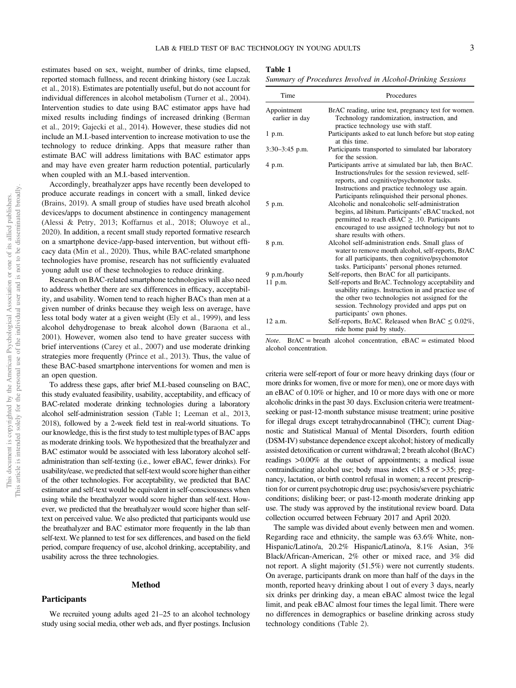<span id="page-3-0"></span>estimates based on sex, weight, number of drinks, time elapsed, reported stomach fullness, and recent drinking history (see [Luczak](#page-13-0) [et al., 2018](#page-13-0)). Estimates are potentially useful, but do not account for individual differences in alcohol metabolism (Turner et al., 2004). Intervention studies to date using BAC estimator apps have had mixed results including findings of increased drinking (Berman et al., 2019; Gajecki et al., 2014). However, these studies did not include an M.I.-based intervention to increase motivation to use the technology to reduce drinking. Apps that measure rather than estimate BAC will address limitations with BAC estimator apps and may have even greater harm reduction potential, particularly when coupled with an M.I.-based intervention.

Accordingly, breathalyzer apps have recently been developed to produce accurate readings in concert with a small, linked device (Brains, 2019). A small group of studies have used breath alcohol devices/apps to document abstinence in contingency management (Alessi & Petry, 2013; Koffarnus et al., 2018; Oluwoye et al., 2020). In addition, a recent small study reported formative research on a smartphone device-/app-based intervention, but without efficacy data (Min et al., 2020). Thus, while BAC-related smartphone technologies have promise, research has not sufficiently evaluated young adult use of these technologies to reduce drinking.

Research on BAC-related smartphone technologies will also need to address whether there are sex differences in efficacy, acceptability, and usability. Women tend to reach higher BACs than men at a given number of drinks because they weigh less on average, have less total body water at a given weight (Ely et al., 1999), and less alcohol dehydrogenase to break alcohol down (Baraona et al., 2001). However, women also tend to have greater success with brief interventions (Carey et al., 2007) and use moderate drinking strategies more frequently (Prince et al., 2013). Thus, the value of these BAC-based smartphone interventions for women and men is an open question.

To address these gaps, after brief M.I.-based counseling on BAC, this study evaluated feasibility, usability, acceptability, and efficacy of BAC-related moderate drinking technologies during a laboratory alcohol self-administration session (Table 1; Leeman et al., 2013, 2018), followed by a 2-week field test in real-world situations. To our knowledge, this is the first study to test multiple types of BAC apps as moderate drinking tools. We hypothesized that the breathalyzer and BAC estimator would be associated with less laboratory alcohol selfadministration than self-texting (i.e., lower eBAC, fewer drinks). For usability/ease, we predicted that self-text would score higher than either of the other technologies. For acceptability, we predicted that BAC estimator and self-text would be equivalent in self-consciousness when using while the breathalyzer would score higher than self-text. However, we predicted that the breathalyzer would score higher than selftext on perceived value. We also predicted that participants would use the breathalyzer and BAC estimator more frequently in the lab than self-text. We planned to test for sex differences, and based on the field period, compare frequency of use, alcohol drinking, acceptability, and usability across the three technologies.

#### Method

We recruited young adults aged 21–25 to an alcohol technology study using social media, other web ads, and flyer postings. Inclusion

#### **Participants**

Summary of Procedures Involved in Alcohol-Drinking Sessions

| Time                          | Procedures                                                                                                                                                                                                                                                     |  |  |
|-------------------------------|----------------------------------------------------------------------------------------------------------------------------------------------------------------------------------------------------------------------------------------------------------------|--|--|
| Appointment<br>earlier in day | BrAC reading, urine test, pregnancy test for women.<br>Technology randomization, instruction, and<br>practice technology use with staff.                                                                                                                       |  |  |
| $1$ p.m.                      | Participants asked to eat lunch before but stop eating<br>at this time.                                                                                                                                                                                        |  |  |
| $3:30-3:45$ p.m.              | Participants transported to simulated bar laboratory<br>for the session.                                                                                                                                                                                       |  |  |
| 4 p.m.                        | Participants arrive at simulated bar lab, then BrAC.<br>Instructions/rules for the session reviewed, self-<br>reports, and cognitive/psychomotor tasks.<br>Instructions and practice technology use again.<br>Participants relinquished their personal phones. |  |  |
| 5 p.m.                        | Alcoholic and nonalcoholic self-administration<br>begins, ad libitum. Participants' eBAC tracked, not<br>permitted to reach eBAC $\geq$ .10. Participants<br>encouraged to use assigned technology but not to<br>share results with others.                    |  |  |
| 8 p.m.                        | Alcohol self-administration ends. Small glass of<br>water to remove mouth alcohol, self-reports, BrAC<br>for all participants, then cognitive/psychomotor<br>tasks. Participants' personal phones returned.                                                    |  |  |
| 9 p.m./hourly                 | Self-reports, then BrAC for all participants.                                                                                                                                                                                                                  |  |  |
| 11 p.m.                       | Self-reports and BrAC. Technology acceptability and<br>usability ratings. Instruction in and practice use of<br>the other two technologies not assigned for the<br>session. Technology provided and apps put on<br>participants' own phones.                   |  |  |
| $12$ a.m.                     | Self-reports, BrAC. Released when BrAC $\leq 0.02\%$ ,<br>ride home paid by study.                                                                                                                                                                             |  |  |

*Note.* BrAC = breath alcohol concentration,  $eBAC$  = estimated blood alcohol concentration.

criteria were self-report of four or more heavy drinking days (four or more drinks for women, five or more for men), one or more days with an eBAC of 0.10% or higher, and 10 or more days with one or more alcoholic drinks in the past 30 days. Exclusion criteria were treatmentseeking or past-12-month substance misuse treatment; urine positive for illegal drugs except tetrahydrocannabinol (THC); current Diagnostic and Statistical Manual of Mental Disorders, fourth edition (DSM-IV) substance dependence except alcohol; history of medically assisted detoxification or current withdrawal; 2 breath alcohol (BrAC) readings >0.00% at the outset of appointments; a medical issue contraindicating alcohol use; body mass index  $\langle 18.5 \text{ or } >35$ ; pregnancy, lactation, or birth control refusal in women; a recent prescription for or current psychotropic drug use; psychosis/severe psychiatric conditions; disliking beer; or past-12-month moderate drinking app use. The study was approved by the institutional review board. Data collection occurred between February 2017 and April 2020.

The sample was divided about evenly between men and women. Regarding race and ethnicity, the sample was 63.6% White, non-Hispanic/Latino/a, 20.2% Hispanic/Latino/a, 8.1% Asian, 3% Black/African-American, 2% other or mixed race, and 3% did not report. A slight majority (51.5%) were not currently students. On average, participants drank on more than half of the days in the month, reported heavy drinking about 1 out of every 3 days, nearly six drinks per drinking day, a mean eBAC almost twice the legal limit, and peak eBAC almost four times the legal limit. There were no differences in demographics or baseline drinking across study technology conditions ([Table 2\)](#page-4-0).

Table 1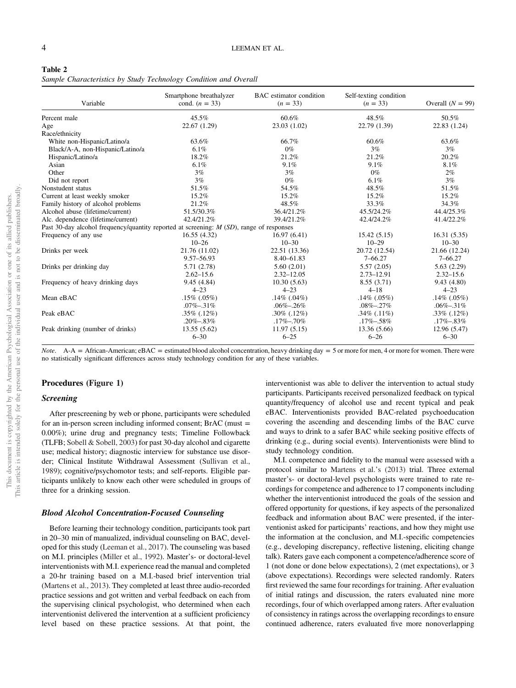<span id="page-4-0"></span>Sample Characteristics by Study Technology Condition and Overall

| Variable                                                                                   | Smartphone breathalyzer<br>cond. $(n = 33)$ | <b>BAC</b> estimator condition<br>$(n = 33)$ | Self-texting condition<br>$(n = 33)$ | Overall $(N = 99)$ |
|--------------------------------------------------------------------------------------------|---------------------------------------------|----------------------------------------------|--------------------------------------|--------------------|
| Percent male                                                                               | $45.5\%$                                    | 60.6%                                        | 48.5%                                | 50.5%              |
| Age                                                                                        | 22.67(1.29)                                 | 23.03 (1.02)                                 | 22.79 (1.39)                         | 22.83 (1.24)       |
| Race/ethnicity                                                                             |                                             |                                              |                                      |                    |
| White non-Hispanic/Latino/a                                                                | 63.6%                                       | 66.7%                                        | 60.6%                                | 63.6%              |
| Black/A-A, non-Hispanic/Latino/a                                                           | $6.1\%$                                     | $0\%$                                        | 3%                                   | 3%                 |
| Hispanic/Latino/a                                                                          | 18.2%                                       | 21.2%                                        | 21.2%                                | 20.2%              |
| Asian                                                                                      | $6.1\%$                                     | 9.1%                                         | 9.1%                                 | 8.1%               |
| Other                                                                                      | 3%                                          | 3%                                           | $0\%$                                | $2\%$              |
| Did not report                                                                             | 3%                                          | $0\%$                                        | 6.1%                                 | 3%                 |
| Nonstudent status                                                                          | 51.5%                                       | 54.5%                                        | 48.5%                                | 51.5%              |
| Current at least weekly smoker                                                             | 15.2%                                       | 15.2%                                        | 15.2%                                | 15.2%              |
| Family history of alcohol problems                                                         | 21.2%                                       | 48.5%                                        | 33.3%                                | 34.3%              |
| Alcohol abuse (lifetime/current)                                                           | 51.5/30.3%                                  | 36.4/21.2%                                   | 45.5/24.2%                           | 44.4/25.3%         |
| Alc. dependence (lifetime/current)                                                         | 42.4/21.2%                                  | 39.4/21.2%                                   | 42.4/24.2%                           | 41.4/22.2%         |
| Past 30-day alcohol frequency/quantity reported at screening: $M(SD)$ , range of responses |                                             |                                              |                                      |                    |
| Frequency of any use                                                                       | 16.55(4.32)                                 | 16.97(6.41)                                  | 15.42(5.15)                          | 16.31(5.35)        |
|                                                                                            | $10 - 26$                                   | $10 - 30$                                    | $10 - 29$                            | $10 - 30$          |
| Drinks per week                                                                            | 21.76 (11.02)                               | 22.51 (13.36)                                | 20.72 (12.54)                        | 21.66 (12.24)      |
|                                                                                            | 9.57–56.93                                  | 8.40-61.83                                   | $7 - 66.27$                          | $7 - 66.27$        |
| Drinks per drinking day                                                                    | 5.71 (2.78)                                 | 5.60(2.01)                                   | 5.57(2.05)                           | 5.63(2.29)         |
|                                                                                            | $2.62 - 15.6$                               | $2.32 - 12.05$                               | $2.73 - 12.91$                       | $2.32 - 15.6$      |
| Frequency of heavy drinking days                                                           | 9.45 (4.84)                                 | 10.30(5.63)                                  | 8.55(3.71)                           | 9.43(4.80)         |
|                                                                                            | $4 - 23$                                    | $4 - 23$                                     | $4 - 18$                             | $4 - 23$           |
| Mean eBAC                                                                                  | $.15\%$ (.05%)                              | $.14\%$ (.04%)                               | $.14\%$ (.05%)                       | $.14\%$ (.05%)     |
|                                                                                            | $.07\% - .31\%$                             | $.06\% - .26\%$                              | $.08\% - .27\%$                      | $.06\% - .31\%$    |
| Peak eBAC                                                                                  | $.35\%$ (.12%)                              | $.30\%$ $(.12\%)$                            | $.34\%$ $(.11\%)$                    | $.33\%$ (.12%)     |
|                                                                                            | $.20\% - .83\%$                             | $.17\% - .70\%$                              | $.17\% - .58\%$                      | $.17\% - .83\%$    |
| Peak drinking (number of drinks)                                                           | 13.55 (5.62)                                | 11.97(5.15)                                  | 13.36 (5.66)                         | 12.96 (5.47)       |
|                                                                                            | $6 - 30$                                    | $6 - 25$                                     | $6 - 26$                             | $6 - 30$           |

*Note.* A-A = African-American; eBAC = estimated blood alcohol concentration, heavy drinking day = 5 or more for men, 4 or more for women. There were no statistically significant differences across study technology condition for any of these variables.

#### Procedures (Figure 1)

#### Screening

After prescreening by web or phone, participants were scheduled for an in-person screen including informed consent; BrAC (must = 0.00%); urine drug and pregnancy tests; Timeline Followback (TLFB; Sobell & Sobell, 2003) for past 30-day alcohol and cigarette use; medical history; diagnostic interview for substance use disorder; Clinical Institute Withdrawal Assessment (Sullivan et al., 1989); cognitive/psychomotor tests; and self-reports. Eligible participants unlikely to know each other were scheduled in groups of three for a drinking session.

#### Blood Alcohol Concentration-Focused Counseling

Before learning their technology condition, participants took part in 20–30 min of manualized, individual counseling on BAC, developed for this study [\(Leeman et al., 2017\)](#page-13-0). The counseling was based on M.I. principles (Miller et al., 1992). Master's- or doctoral-level interventionists with M.I. experience read the manual and completed a 20-hr training based on a M.I.-based brief intervention trial ([Martens et al., 2013](#page-13-0)). They completed at least three audio-recorded practice sessions and got written and verbal feedback on each from the supervising clinical psychologist, who determined when each interventionist delivered the intervention at a sufficient proficiency level based on these practice sessions. At that point, the

interventionist was able to deliver the intervention to actual study participants. Participants received personalized feedback on typical quantity/frequency of alcohol use and recent typical and peak eBAC. Interventionists provided BAC-related psychoeducation covering the ascending and descending limbs of the BAC curve and ways to drink to a safer BAC while seeking positive effects of drinking (e.g., during social events). Interventionists were blind to study technology condition. M.I. competence and fidelity to the manual were assessed with a

protocol similar to [Martens et al.](#page-13-0)'s (2013) trial. Three external master's- or doctoral-level psychologists were trained to rate recordings for competence and adherence to 17 components including whether the interventionist introduced the goals of the session and offered opportunity for questions, if key aspects of the personalized feedback and information about BAC were presented, if the interventionist asked for participants' reactions, and how they might use the information at the conclusion, and M.I.-specific competencies (e.g., developing discrepancy, reflective listening, eliciting change talk). Raters gave each component a competence/adherence score of 1 (not done or done below expectations), 2 (met expectations), or 3 (above expectations). Recordings were selected randomly. Raters first reviewed the same four recordings for training. After evaluation of initial ratings and discussion, the raters evaluated nine more recordings, four of which overlapped among raters. After evaluation of consistency in ratings across the overlapping recordings to ensure continued adherence, raters evaluated five more nonoverlapping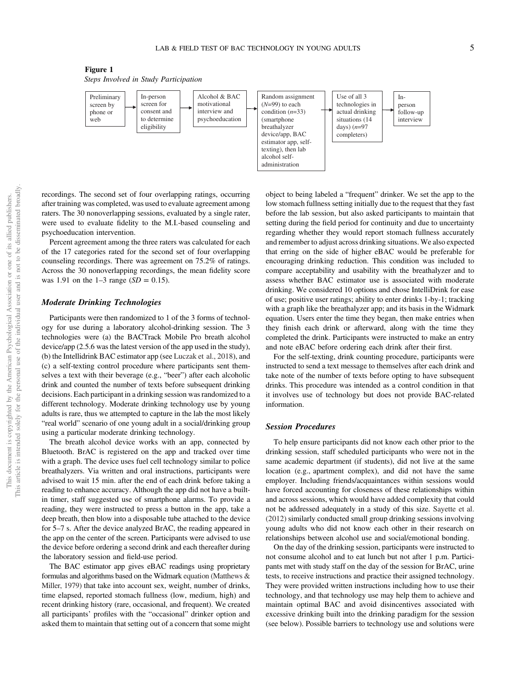



recordings. The second set of four overlapping ratings, occurring after training was completed, was used to evaluate agreement among raters. The 30 nonoverlapping sessions, evaluated by a single rater, were used to evaluate fidelity to the M.I.-based counseling and psychoeducation intervention.

Percent agreement among the three raters was calculated for each of the 17 categories rated for the second set of four overlapping counseling recordings. There was agreement on 75.2% of ratings. Across the 30 nonoverlapping recordings, the mean fidelity score was 1.91 on the 1–3 range  $(SD = 0.15)$ .

#### Moderate Drinking Technologies

Participants were then randomized to 1 of the 3 forms of technology for use during a laboratory alcohol-drinking session. The 3 technologies were (a) the BACTrack Mobile Pro breath alcohol device/app (2.5.6 was the latest version of the app used in the study), (b) the Intellidrink BAC estimator app (see [Luczak et al., 2018](#page-13-0)), and (c) a self-texting control procedure where participants sent themselves a text with their beverage (e.g., "beer") after each alcoholic drink and counted the number of texts before subsequent drinking decisions. Each participant in a drinking session was randomized to a different technology. Moderate drinking technology use by young adults is rare, thus we attempted to capture in the lab the most likely "real world" scenario of one young adult in a social/drinking group using a particular moderate drinking technology.

The breath alcohol device works with an app, connected by Bluetooth. BrAC is registered on the app and tracked over time with a graph. The device uses fuel cell technology similar to police breathalyzers. Via written and oral instructions, participants were advised to wait 15 min. after the end of each drink before taking a reading to enhance accuracy. Although the app did not have a builtin timer, staff suggested use of smartphone alarms. To provide a reading, they were instructed to press a button in the app, take a deep breath, then blow into a disposable tube attached to the device for 5–7 s. After the device analyzed BrAC, the reading appeared in the app on the center of the screen. Participants were advised to use the device before ordering a second drink and each thereafter during the laboratory session and field-use period.

The BAC estimator app gives eBAC readings using proprietary formulas and algorithms based on the Widmark equation (Matthews & Miller, 1979) that take into account sex, weight, number of drinks, time elapsed, reported stomach fullness (low, medium, high) and recent drinking history (rare, occasional, and frequent). We created all participants' profiles with the "occasional" drinker option and asked them to maintain that setting out of a concern that some might

object to being labeled a "frequent" drinker. We set the app to the low stomach fullness setting initially due to the request that they fast before the lab session, but also asked participants to maintain that setting during the field period for continuity and due to uncertainty regarding whether they would report stomach fullness accurately and remember to adjust across drinking situations. We also expected that erring on the side of higher eBAC would be preferable for encouraging drinking reduction. This condition was included to compare acceptability and usability with the breathalyzer and to assess whether BAC estimator use is associated with moderate drinking. We considered 10 options and chose IntelliDrink for ease of use; positive user ratings; ability to enter drinks 1-by-1; tracking with a graph like the breathalyzer app; and its basis in the Widmark equation. Users enter the time they began, then make entries when they finish each drink or afterward, along with the time they completed the drink. Participants were instructed to make an entry and note eBAC before ordering each drink after their first.

For the self-texting, drink counting procedure, participants were instructed to send a text message to themselves after each drink and take note of the number of texts before opting to have subsequent drinks. This procedure was intended as a control condition in that it involves use of technology but does not provide BAC-related information.

#### Session Procedures

To help ensure participants did not know each other prior to the drinking session, staff scheduled participants who were not in the same academic department (if students), did not live at the same location (e.g., apartment complex), and did not have the same employer. Including friends/acquaintances within sessions would have forced accounting for closeness of these relationships within and across sessions, which would have added complexity that could not be addressed adequately in a study of this size. Sayette et al. (2012) similarly conducted small group drinking sessions involving young adults who did not know each other in their research on relationships between alcohol use and social/emotional bonding.

On the day of the drinking session, participants were instructed to not consume alcohol and to eat lunch but not after 1 p.m. Participants met with study staff on the day of the session for BrAC, urine tests, to receive instructions and practice their assigned technology. They were provided written instructions including how to use their technology, and that technology use may help them to achieve and maintain optimal BAC and avoid disincentives associated with excessive drinking built into the drinking paradigm for the session (see below). Possible barriers to technology use and solutions were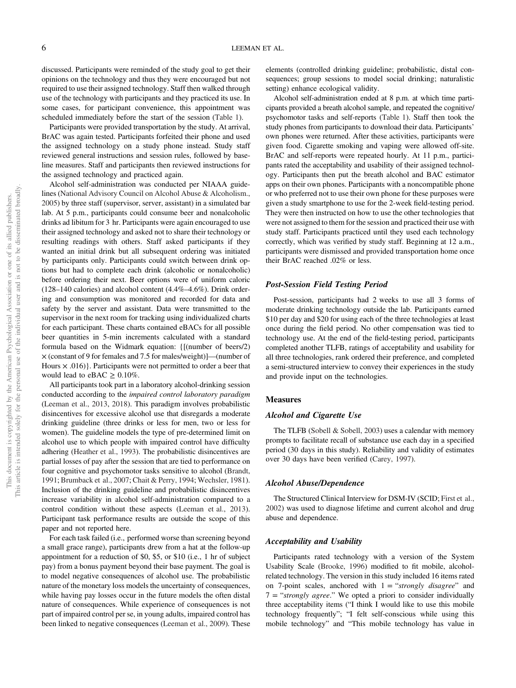discussed. Participants were reminded of the study goal to get their opinions on the technology and thus they were encouraged but not required to use their assigned technology. Staff then walked through use of the technology with participants and they practiced its use. In some cases, for participant convenience, this appointment was scheduled immediately before the start of the session [\(Table 1](#page-3-0)).

Participants were provided transportation by the study. At arrival, BrAC was again tested. Participants forfeited their phone and used the assigned technology on a study phone instead. Study staff reviewed general instructions and session rules, followed by baseline measures. Staff and participants then reviewed instructions for the assigned technology and practiced again.

Alcohol self-administration was conducted per NIAAA guidelines (National Advisory Council on Alcohol Abuse & Alcoholism., 2005) by three staff (supervisor, server, assistant) in a simulated bar lab. At 5 p.m., participants could consume beer and nonalcoholic drinks ad libitum for 3 hr. Participants were again encouraged to use their assigned technology and asked not to share their technology or resulting readings with others. Staff asked participants if they wanted an initial drink but all subsequent ordering was initiated by participants only. Participants could switch between drink options but had to complete each drink (alcoholic or nonalcoholic) before ordering their next. Beer options were of uniform caloric (128–140 calories) and alcohol content (4.4%–4.6%). Drink ordering and consumption was monitored and recorded for data and safety by the server and assistant. Data were transmitted to the supervisor in the next room for tracking using individualized charts for each participant. These charts contained eBACs for all possible beer quantities in 5-min increments calculated with a standard formula based on the Widmark equation: {[(number of beers/2) × (constant of 9 for females and 7.5 for males/weight)]—(number of Hours  $\times$  .016). Participants were not permitted to order a beer that would lead to eBAC  $\geq 0.10\%$ .

All participants took part in a laboratory alcohol-drinking session conducted according to the impaired control laboratory paradigm (Leeman et al., 2013, 2018). This paradigm involves probabilistic disincentives for excessive alcohol use that disregards a moderate drinking guideline (three drinks or less for men, two or less for women). The guideline models the type of pre-determined limit on alcohol use to which people with impaired control have difficulty adhering (Heather et al., 1993). The probabilistic disincentives are partial losses of pay after the session that are tied to performance on four cognitive and psychomotor tasks sensitive to alcohol (Brandt, 1991; Brumback et al., 2007; Chait & Perry, 1994; Wechsler, 1981). Inclusion of the drinking guideline and probabilistic disincentives increase variability in alcohol self-administration compared to a control condition without these aspects (Leeman et al., 2013). Participant task performance results are outside the scope of this paper and not reported here.

For each task failed (i.e., performed worse than screening beyond a small grace range), participants drew from a hat at the follow-up appointment for a reduction of \$0, \$5, or \$10 (i.e., 1 hr of subject pay) from a bonus payment beyond their base payment. The goal is to model negative consequences of alcohol use. The probabilistic nature of the monetary loss models the uncertainty of consequences, while having pay losses occur in the future models the often distal nature of consequences. While experience of consequences is not part of impaired control per se, in young adults, impaired control has been linked to negative consequences (Leeman et al., 2009). These elements (controlled drinking guideline; probabilistic, distal consequences; group sessions to model social drinking; naturalistic setting) enhance ecological validity.

Alcohol self-administration ended at 8 p.m. at which time participants provided a breath alcohol sample, and repeated the cognitive/ psychomotor tasks and self-reports ([Table 1](#page-3-0)). Staff then took the study phones from participants to download their data. Participants' own phones were returned. After these activities, participants were given food. Cigarette smoking and vaping were allowed off-site. BrAC and self-reports were repeated hourly. At 11 p.m., participants rated the acceptability and usability of their assigned technology. Participants then put the breath alcohol and BAC estimator apps on their own phones. Participants with a noncompatible phone or who preferred not to use their own phone for these purposes were given a study smartphone to use for the 2-week field-testing period. They were then instructed on how to use the other technologies that were not assigned to them for the session and practiced their use with study staff. Participants practiced until they used each technology correctly, which was verified by study staff. Beginning at 12 a.m., participants were dismissed and provided transportation home once their BrAC reached .02% or less.

#### Post-Session Field Testing Period

Post-session, participants had 2 weeks to use all 3 forms of moderate drinking technology outside the lab. Participants earned \$10 per day and \$20 for using each of the three technologies at least once during the field period. No other compensation was tied to technology use. At the end of the field-testing period, participants completed another TLFB, ratings of acceptability and usability for all three technologies, rank ordered their preference, and completed a semi-structured interview to convey their experiences in the study and provide input on the technologies.

#### **Measures**

#### Alcohol and Cigarette Use

The TLFB (Sobell & Sobell, 2003) uses a calendar with memory prompts to facilitate recall of substance use each day in a specified period (30 days in this study). Reliability and validity of estimates over 30 days have been verified (Carey, 1997).

#### Alcohol Abuse/Dependence

The Structured Clinical Interview for DSM-IV (SCID; First et al., 2002) was used to diagnose lifetime and current alcohol and drug abuse and dependence.

#### Acceptability and Usability

Participants rated technology with a version of the System Usability Scale (Brooke, 1996) modified to fit mobile, alcoholrelated technology. The version in this study included 16 items rated on 7-point scales, anchored with  $1 =$  "strongly disagree" and  $7 =$  "strongly agree." We opted a priori to consider individually three acceptability items ("I think I would like to use this mobile technology frequently"; "I felt self-conscious while using this mobile technology" and "This mobile technology has value in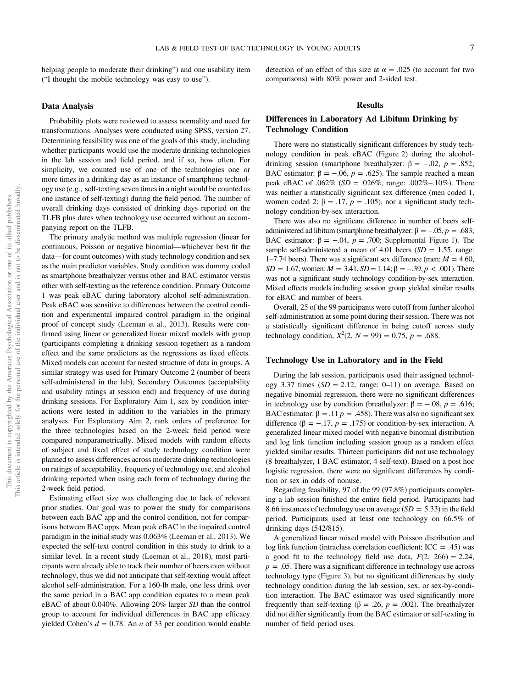helping people to moderate their drinking") and one usability item ("I thought the mobile technology was easy to use").

#### Data Analysis

Probability plots were reviewed to assess normality and need for transformations. Analyses were conducted using SPSS, version 27. Determining feasibility was one of the goals of this study, including whether participants would use the moderate drinking technologies in the lab session and field period, and if so, how often. For simplicity, we counted use of one of the technologies one or more times in a drinking day as an instance of smartphone technology use (e.g., self-texting seven times in a night would be counted as one instance of self-texting) during the field period. The number of overall drinking days consisted of drinking days reported on the TLFB plus dates when technology use occurred without an accompanying report on the TLFB.

The primary analytic method was multiple regression (linear for continuous, Poisson or negative binomial—whichever best fit the data—for count outcomes) with study technology condition and sex as the main predictor variables. Study condition was dummy coded as smartphone breathalyzer versus other and BAC estimator versus other with self-texting as the reference condition. Primary Outcome 1 was peak eBAC during laboratory alcohol self-administration. Peak eBAC was sensitive to differences between the control condition and experimental impaired control paradigm in the original proof of concept study (Leeman et al., 2013). Results were confirmed using linear or generalized linear mixed models with group (participants completing a drinking session together) as a random effect and the same predictors as the regressions as fixed effects. Mixed models can account for nested structure of data in groups. A similar strategy was used for Primary Outcome 2 (number of beers self-administered in the lab), Secondary Outcomes (acceptability and usability ratings at session end) and frequency of use during drinking sessions. For Exploratory Aim 1, sex by condition interactions were tested in addition to the variables in the primary analyses. For Exploratory Aim 2, rank orders of preference for the three technologies based on the 2-week field period were compared nonparametrically. Mixed models with random effects of subject and fixed effect of study technology condition were planned to assess differences across moderate drinking technologies on ratings of acceptability, frequency of technology use, and alcohol drinking reported when using each form of technology during the 2-week field period.

Estimating effect size was challenging due to lack of relevant prior studies. Our goal was to power the study for comparisons between each BAC app and the control condition, not for comparisons between BAC apps. Mean peak eBAC in the impaired control paradigm in the initial study was 0.063% (Leeman et al., 2013). We expected the self-text control condition in this study to drink to a similar level. In a recent study (Leeman et al., 2018), most participants were already able to track their number of beers even without technology, thus we did not anticipate that self-texting would affect alcohol self-administration. For a 160-lb male, one less drink over the same period in a BAC app condition equates to a mean peak eBAC of about 0.040%. Allowing 20% larger SD than the control group to account for individual differences in BAC app efficacy yielded Cohen's  $d = 0.78$ . An *n* of 33 per condition would enable

detection of an effect of this size at  $\alpha = .025$  (to account for two comparisons) with 80% power and 2-sided test.

#### Results

#### Differences in Laboratory Ad Libitum Drinking by Technology Condition

There were no statistically significant differences by study technology condition in peak eBAC (Figure 2) during the alcoholdrinking session (smartphone breathalyzer: β = -.02,  $p = .852$ ; BAC estimator:  $\beta = -.06$ ,  $p = .625$ ). The sample reached a mean peak eBAC of .062% ( $SD = .026\%$ , range: .002%–.10%). There was neither a statistically significant sex difference (men coded 1, women coded 2;  $\beta = .17$ ,  $p = .105$ ), nor a significant study technology condition-by-sex interaction.

There was also no significant difference in number of beers selfadministered ad libitum (smartphone breathalyzer: β = -.05,  $p = .683$ ; BAC estimator:  $\beta = -.04$ ,  $p = .700$ ; [Supplemental Figure 1\)](https://doi.org/10.1037/adb0000780.supp). The sample self-administered a mean of 4.01 beers  $(SD = 1.55, \text{ range})$ : 1–7.74 beers). There was a significant sex difference (men:  $M = 4.60$ , SD = 1.67, women:  $M = 3.41$ , SD = 1.14;  $\beta = -.39$ ,  $p < .001$ ). There was not a significant study technology condition-by-sex interaction. Mixed effects models including session group yielded similar results for eBAC and number of beers.

Overall, 25 of the 99 participants were cutoff from further alcohol self-administration at some point during their session. There was not a statistically significant difference in being cutoff across study technology condition,  $X^2(2, N = 99) = 0.75$ ,  $p = .688$ .

#### Technology Use in Laboratory and in the Field

During the lab session, participants used their assigned technology 3.37 times  $(SD = 2.12$ , range: 0–11) on average. Based on negative binomial regression, there were no significant differences in technology use by condition (breathalyzer: β = −.08,  $p = .616$ ; BAC estimator:  $β = .11 p = .458$ ). There was also no significant sex difference ( $\beta = -.17$ ,  $p = .175$ ) or condition-by-sex interaction. A generalized linear mixed model with negative binomial distribution and log link function including session group as a random effect yielded similar results. Thirteen participants did not use technology (8 breathalyzer, 1 BAC estimator, 4 self-text). Based on a post hoc logistic regression, there were no significant differences by condition or sex in odds of nonuse.

Regarding feasibility, 97 of the 99 (97.8%) participants completing a lab session finished the entire field period. Participants had 8.66 instances of technology use on average  $(SD = 5.33)$  in the field period. Participants used at least one technology on 66.5% of drinking days (542/815).

A generalized linear mixed model with Poisson distribution and log link function (intraclass correlation coefficient;  $\text{ICC} = .45$ ) was a good fit to the technology field use data,  $F(2, 266) = 2.24$ ,  $p = 0.05$ . There was a significant difference in technology use across technology type (Figure 3), but no significant differences by study technology condition during the lab session, sex, or sex-by-condition interaction. The BAC estimator was used significantly more frequently than self-texting (β = .26,  $p = .002$ ). The breathalyzer did not differ significantly from the BAC estimator or self-texting in number of field period uses.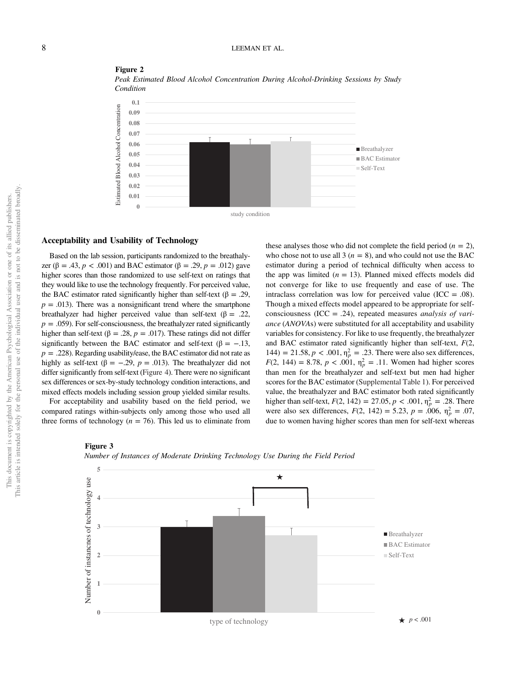

Figure 2 Peak Estimated Blood Alcohol Concentration During Alcohol-Drinking Sessions by Study Condition

#### Acceptability and Usability of Technology

Based on the lab session, participants randomized to the breathalyzer (β = .43, *p* < .001) and BAC estimator (β = .29, *p* = .012) gave higher scores than those randomized to use self-text on ratings that they would like to use the technology frequently. For perceived value, the BAC estimator rated significantly higher than self-text ( $\beta = .29$ ,  $p = .013$ ). There was a nonsignificant trend where the smartphone breathalyzer had higher perceived value than self-text ( $\beta = .22$ ,  $p = .059$ ). For self-consciousness, the breathalyzer rated significantly higher than self-text ( $\beta = .28$ ,  $p = .017$ ). These ratings did not differ significantly between the BAC estimator and self-text ( $\beta = -.13$ ,  $p = .228$ ). Regarding usability/ease, the BAC estimator did not rate as highly as self-text (β = -.29,  $p = .013$ ). The breathalyzer did not differ significantly from self-text [\(Figure 4\)](#page-9-0). There were no significant sex differences or sex-by-study technology condition interactions, and mixed effects models including session group yielded similar results.

For acceptability and usability based on the field period, we compared ratings within-subjects only among those who used all three forms of technology ( $n = 76$ ). This led us to eliminate from these analyses those who did not complete the field period  $(n = 2)$ , who chose not to use all 3 ( $n = 8$ ), and who could not use the BAC estimator during a period of technical difficulty when access to the app was limited  $(n = 13)$ . Planned mixed effects models did not converge for like to use frequently and ease of use. The intraclass correlation was low for perceived value (ICC =  $.08$ ). Though a mixed effects model appeared to be appropriate for selfconsciousness (ICC = .24), repeated measures *analysis of vari*ance (ANOVAs) were substituted for all acceptability and usability variables for consistency. For like to use frequently, the breathalyzer and BAC estimator rated significantly higher than self-text,  $F(2, 1)$ 144) = 21.58,  $p < .001$ ,  $\eta_p^2 = .23$ . There were also sex differences,  $F(2, 144) = 8.78, p < .001, \eta_p^2 = .11$ . Women had higher scores than men for the breathalyzer and self-text but men had higher scores for the BAC estimator ([Supplemental Table 1](https://doi.org/10.1037/adb0000780.supp)). For perceived value, the breathalyzer and BAC estimator both rated significantly higher than self-text,  $F(2, 142) = 27.05, p < .001, \eta_p^2 = .28$ . There were also sex differences,  $F(2, 142) = 5.23$ ,  $p = .006$ ,  $\eta_p^2 = .07$ , due to women having higher scores than men for self-text whereas

#### Figure 3



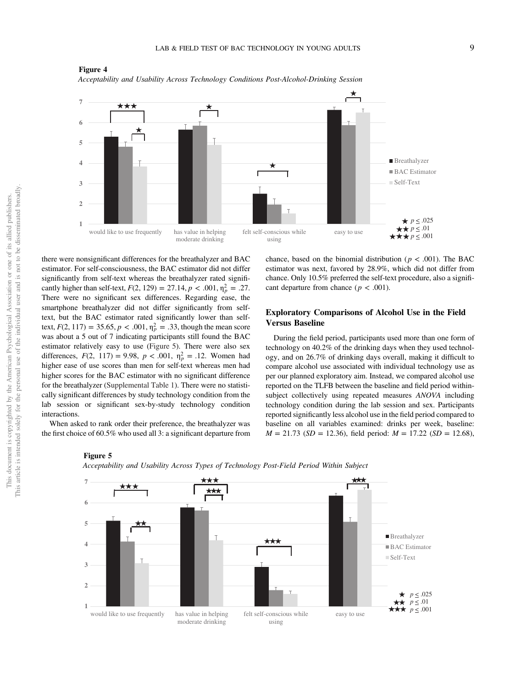

<span id="page-9-0"></span>Figure 4 Acceptability and Usability Across Technology Conditions Post-Alcohol-Drinking Session

there were nonsignificant differences for the breathalyzer and BAC estimator. For self-consciousness, the BAC estimator did not differ significantly from self-text whereas the breathalyzer rated significantly higher than self-text,  $F(2, 129) = 27.14, p < .001, \eta_p^2 = .27$ . There were no significant sex differences. Regarding ease, the smartphone breathalyzer did not differ significantly from selftext, but the BAC estimator rated significantly lower than selftext,  $F(2, 117) = 35.65, p < .001, \eta_p^2 = .33$ , though the mean score was about a 5 out of 7 indicating participants still found the BAC estimator relatively easy to use (Figure 5). There were also sex differences,  $F(2, 117) = 9.98$ ,  $p < .001$ ,  $\eta_p^2 = .12$ . Women had higher ease of use scores than men for self-text whereas men had higher scores for the BAC estimator with no significant difference for the breathalyzer ([Supplemental Table 1\)](https://doi.org/10.1037/adb0000780.supp). There were no statistically significant differences by study technology condition from the lab session or significant sex-by-study technology condition interactions.

When asked to rank order their preference, the breathalyzer was the first choice of 60.5% who used all 3: a significant departure from

Figure 5

chance, based on the binomial distribution ( $p < .001$ ). The BAC estimator was next, favored by 28.9%, which did not differ from chance. Only 10.5% preferred the self-text procedure, also a significant departure from chance ( $p < .001$ ).

#### Exploratory Comparisons of Alcohol Use in the Field Versus Baseline

During the field period, participants used more than one form of technology on 40.2% of the drinking days when they used technology, and on 26.7% of drinking days overall, making it difficult to compare alcohol use associated with individual technology use as per our planned exploratory aim. Instead, we compared alcohol use reported on the TLFB between the baseline and field period withinsubject collectively using repeated measures ANOVA including technology condition during the lab session and sex. Participants reported significantly less alcohol use in the field period compared to baseline on all variables examined: drinks per week, baseline:  $M = 21.73$  (SD = 12.36), field period:  $M = 17.22$  (SD = 12.68),



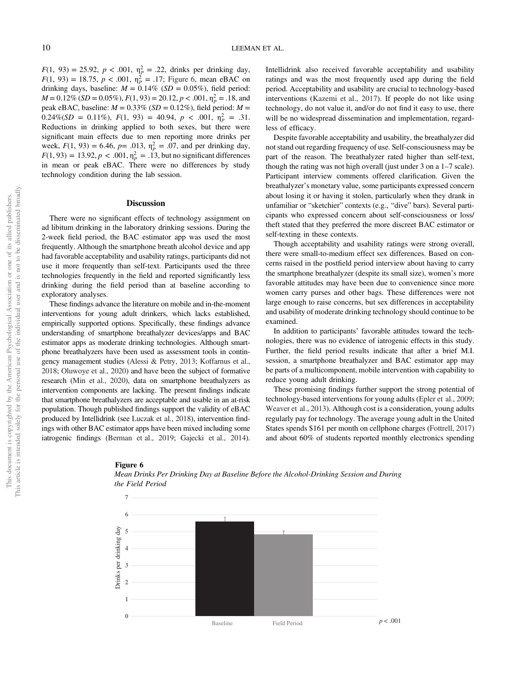$F(1, 93) = 25.92, p < .001, \eta_p^2 = .22$ , drinks per drinking day,  $F(1, 93) = 18.75, p < .001, \eta_p^2 = .17$ ; Figure 6, mean eBAC on drinking days, baseline:  $M = 0.14\%$  (SD = 0.05%), field period:  $M = 0.12\%$  (SD = 0.05%),  $F(1, 93) = 20.12$ ,  $p < .001$ ,  $\eta_p^2 = .18$ , and peak eBAC, baseline:  $M = 0.33\%$  (SD = 0.12%), field period:  $M =$  $0.24\% (SD = 0.11\%), F(1, 93) = 40.94, p < .001, \eta_p^2 = .31.$ Reductions in drinking applied to both sexes, but there were significant main effects due to men reporting more drinks per week,  $F(1, 93) = 6.46$ ,  $p = .013$ ,  $\eta_p^2 = .07$ , and per drinking day,  $F(1, 93) = 13.92, p < .001, \eta_p^2 = .13$ , but no significant differences in mean or peak eBAC. There were no differences by study technology condition during the lab session.

#### **Discussion**

There were no significant effects of technology assignment on ad libitum drinking in the laboratory drinking sessions. During the 2-week field period, the BAC estimator app was used the most frequently. Although the smartphone breath alcohol device and app had favorable acceptability and usability ratings, participants did not use it more frequently than self-text. Participants used the three technologies frequently in the field and reported significantly less drinking during the field period than at baseline according to exploratory analyses.

These findings advance the literature on mobile and in-the-moment interventions for young adult drinkers, which lacks established, empirically supported options. Specifically, these findings advance understanding of smartphone breathalyzer devices/apps and BAC estimator apps as moderate drinking technologies. Although smartphone breathalyzers have been used as assessment tools in contingency management studies (Alessi & Petry, 2013; Koffarnus et al., 2018; Oluwoye et al., 2020) and have been the subject of formative research (Min et al., 2020), data on smartphone breathalyzers as intervention components are lacking. The present findings indicate that smartphone breathalyzers are acceptable and usable in an at-risk population. Though published findings support the validity of eBAC produced by Intellidrink (see [Luczak et al., 2018\)](#page-13-0), intervention findings with other BAC estimator apps have been mixed including some iatrogenic findings (Berman et al., 2019; Gajecki et al., 2014). Intellidrink also received favorable acceptability and usability ratings and was the most frequently used app during the field period. Acceptability and usability are crucial to technology-based interventions (Kazemi et al., 2017). If people do not like using technology, do not value it, and/or do not find it easy to use, there will be no widespread dissemination and implementation, regardless of efficacy.

Despite favorable acceptability and usability, the breathalyzer did not stand out regarding frequency of use. Self-consciousness may be part of the reason. The breathalyzer rated higher than self-text, though the rating was not high overall (just under 3 on a 1–7 scale). Participant interview comments offered clarification. Given the breathalyzer's monetary value, some participants expressed concern about losing it or having it stolen, particularly when they drank in unfamiliar or "sketchier" contexts (e.g., "dive" bars). Several participants who expressed concern about self-consciousness or loss/ theft stated that they preferred the more discreet BAC estimator or self-texting in these contexts.

Though acceptability and usability ratings were strong overall, there were small-to-medium effect sex differences. Based on concerns raised in the postfield period interview about having to carry the smartphone breathalyzer (despite its small size), women's more favorable attitudes may have been due to convenience since more women carry purses and other bags. These differences were not large enough to raise concerns, but sex differences in acceptability and usability of moderate drinking technology should continue to be examined.

In addition to participants' favorable attitudes toward the technologies, there was no evidence of iatrogenic effects in this study. Further, the field period results indicate that after a brief M.I. session, a smartphone breathalyzer and BAC estimator app may be parts of a multicomponent, mobile intervention with capability to reduce young adult drinking.

These promising findings further support the strong potential of technology-based interventions for young adults (Epler et al., 2009; Weaver et al., 2013). Although cost is a consideration, young adults regularly pay for technology. The average young adult in the United States spends \$161 per month on cellphone charges (Fottrell, 2017) and about 60% of students reported monthly electronics spending



#### Figure 6 Mean Drinks Per Drinking Day at Baseline Before the Alcohol-Drinking Session and During the Field Period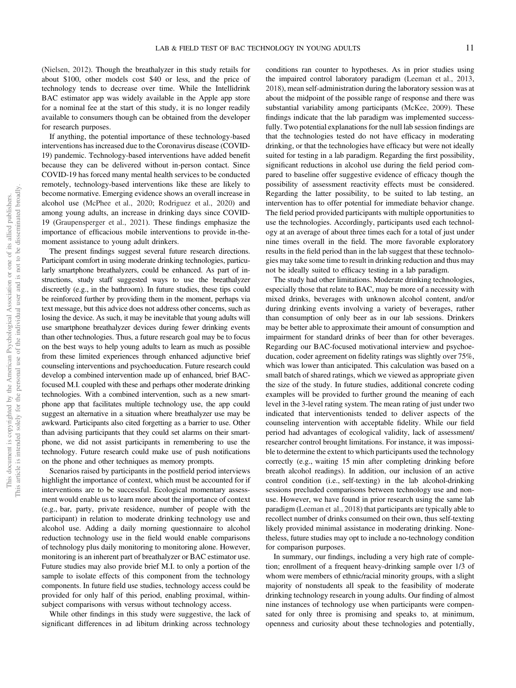(Nielsen, 2012). Though the breathalyzer in this study retails for about \$100, other models cost \$40 or less, and the price of technology tends to decrease over time. While the Intellidrink BAC estimator app was widely available in the Apple app store for a nominal fee at the start of this study, it is no longer readily available to consumers though can be obtained from the developer for research purposes.

If anything, the potential importance of these technology-based interventions has increased due to the Coronavirus disease (COVID-19) pandemic. Technology-based interventions have added benefit because they can be delivered without in-person contact. Since COVID-19 has forced many mental health services to be conducted remotely, technology-based interventions like these are likely to become normative. Emerging evidence shows an overall increase in alcohol use (McPhee et al., 2020; Rodriguez et al., 2020) and among young adults, an increase in drinking days since COVID-19 (Graupensperger et al., 2021). These findings emphasize the importance of efficacious mobile interventions to provide in-themoment assistance to young adult drinkers.

The present findings suggest several future research directions. Participant comfort in using moderate drinking technologies, particularly smartphone breathalyzers, could be enhanced. As part of instructions, study staff suggested ways to use the breathalyzer discreetly (e.g., in the bathroom). In future studies, these tips could be reinforced further by providing them in the moment, perhaps via text message, but this advice does not address other concerns, such as losing the device. As such, it may be inevitable that young adults will use smartphone breathalyzer devices during fewer drinking events than other technologies. Thus, a future research goal may be to focus on the best ways to help young adults to learn as much as possible from these limited experiences through enhanced adjunctive brief counseling interventions and psychoeducation. Future research could develop a combined intervention made up of enhanced, brief BACfocused M.I. coupled with these and perhaps other moderate drinking technologies. With a combined intervention, such as a new smartphone app that facilitates multiple technology use, the app could suggest an alternative in a situation where breathalyzer use may be awkward. Participants also cited forgetting as a barrier to use. Other than advising participants that they could set alarms on their smartphone, we did not assist participants in remembering to use the technology. Future research could make use of push notifications on the phone and other techniques as memory prompts.

Scenarios raised by participants in the postfield period interviews highlight the importance of context, which must be accounted for if interventions are to be successful. Ecological momentary assessment would enable us to learn more about the importance of context (e.g., bar, party, private residence, number of people with the participant) in relation to moderate drinking technology use and alcohol use. Adding a daily morning questionnaire to alcohol reduction technology use in the field would enable comparisons of technology plus daily monitoring to monitoring alone. However, monitoring is an inherent part of breathalyzer or BAC estimator use. Future studies may also provide brief M.I. to only a portion of the sample to isolate effects of this component from the technology components. In future field use studies, technology access could be provided for only half of this period, enabling proximal, withinsubject comparisons with versus without technology access.

While other findings in this study were suggestive, the lack of significant differences in ad libitum drinking across technology

conditions ran counter to hypotheses. As in prior studies using the impaired control laboratory paradigm (Leeman et al., 2013, 2018), mean self-administration during the laboratory session was at about the midpoint of the possible range of response and there was substantial variability among participants (McKee, 2009). These findings indicate that the lab paradigm was implemented successfully. Two potential explanations for the null lab session findings are that the technologies tested do not have efficacy in moderating drinking, or that the technologies have efficacy but were not ideally suited for testing in a lab paradigm. Regarding the first possibility, significant reductions in alcohol use during the field period compared to baseline offer suggestive evidence of efficacy though the possibility of assessment reactivity effects must be considered. Regarding the latter possibility, to be suited to lab testing, an intervention has to offer potential for immediate behavior change. The field period provided participants with multiple opportunities to use the technologies. Accordingly, participants used each technology at an average of about three times each for a total of just under nine times overall in the field. The more favorable exploratory results in the field period than in the lab suggest that these technologies may take some time to result in drinking reduction and thus may not be ideally suited to efficacy testing in a lab paradigm.

The study had other limitations. Moderate drinking technologies, especially those that relate to BAC, may be more of a necessity with mixed drinks, beverages with unknown alcohol content, and/or during drinking events involving a variety of beverages, rather than consumption of only beer as in our lab sessions. Drinkers may be better able to approximate their amount of consumption and impairment for standard drinks of beer than for other beverages. Regarding our BAC-focused motivational interview and psychoeducation, coder agreement on fidelity ratings was slightly over 75%, which was lower than anticipated. This calculation was based on a small batch of shared ratings, which we viewed as appropriate given the size of the study. In future studies, additional concrete coding examples will be provided to further ground the meaning of each level in the 3-level rating system. The mean rating of just under two indicated that interventionists tended to deliver aspects of the counseling intervention with acceptable fidelity. While our field period had advantages of ecological validity, lack of assessment/ researcher control brought limitations. For instance, it was impossible to determine the extent to which participants used the technology correctly (e.g., waiting 15 min after completing drinking before breath alcohol readings). In addition, our inclusion of an active control condition (i.e., self-texting) in the lab alcohol-drinking sessions precluded comparisons between technology use and nonuse. However, we have found in prior research using the same lab paradigm (Leeman et al., 2018) that participants are typically able to recollect number of drinks consumed on their own, thus self-texting likely provided minimal assistance in moderating drinking. Nonetheless, future studies may opt to include a no-technology condition for comparison purposes.

In summary, our findings, including a very high rate of completion; enrollment of a frequent heavy-drinking sample over 1/3 of whom were members of ethnic/racial minority groups, with a slight majority of nonstudents all speak to the feasibility of moderate drinking technology research in young adults. Our finding of almost nine instances of technology use when participants were compensated for only three is promising and speaks to, at minimum, openness and curiosity about these technologies and potentially,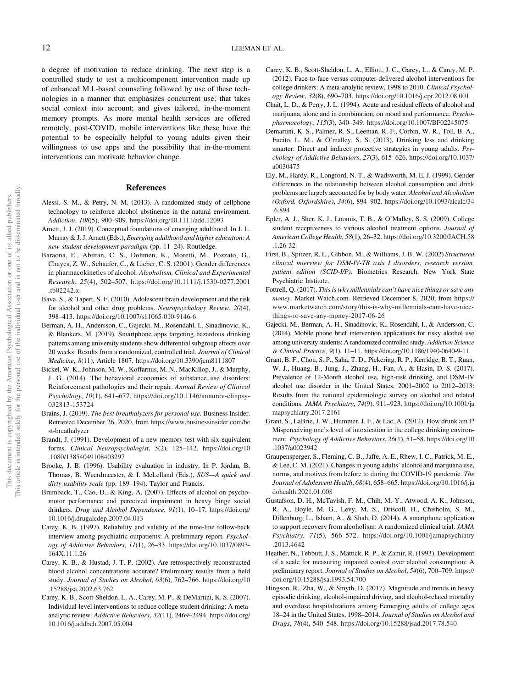a degree of motivation to reduce drinking. The next step is a controlled study to test a multicomponent intervention made up of enhanced M.I.-based counseling followed by use of these technologies in a manner that emphasizes concurrent use; that takes social context into account; and gives tailored, in-the-moment memory prompts. As more mental health services are offered remotely, post-COVID, mobile interventions like these have the potential to be especially helpful to young adults given their willingness to use apps and the possibility that in-the-moment interventions can motivate behavior change.

#### References

- Alessi, S. M., & Petry, N. M. (2013). A randomized study of cellphone technology to reinforce alcohol abstinence in the natural environment. Addiction, 108(5), 900–909. <https://doi.org/10.1111/add.12093>
- Arnett, J. J. (2019). Conceptual foundations of emerging adulthood. In J. L. Murray & J. J. Arnett (Eds.), Emerging adulthood and higher education: A new student development paradigm (pp. 11–24). Routledge.
- Baraona, E., Abittan, C. S., Dohmen, K., Moretti, M., Pozzato, G., Chayes, Z. W., Schaefer, C., & Lieber, C. S. (2001). Gender differences in pharmacokinetics of alcohol. Alcoholism, Clinical and Experimental Research, 25(4), 502–507. [https://doi.org/10.1111/j.1530-0277.2001](https://doi.org/10.1111/j.1530-0277.2001.tb02242.x) [.tb02242.x](https://doi.org/10.1111/j.1530-0277.2001.tb02242.x)
- Bava, S., & Tapert, S. F. (2010). Adolescent brain development and the risk for alcohol and other drug problems. Neuropsychology Review, 20(4), 398–413. <https://doi.org/10.1007/s11065-010-9146-6>
- Berman, A. H., Andersson, C., Gajecki, M., Rosendahl, I., Sinadinovic, K., & Blankers, M. (2019). Smartphone apps targeting hazardous drinking patterns among university students show differential subgroup effects over 20 weeks: Results from a randomized, controlled trial. Journal of Clinical Medicine, 8(11), Article 1807. <https://doi.org/10.3390/jcm8111807>
- Bickel, W. K., Johnson, M. W., Koffarnus, M. N., MacKillop, J., & Murphy, J. G. (2014). The behavioral economics of substance use disorders: Reinforcement pathologies and their repair. Annual Review of Clinical Psychology, 10(1), 641–677. [https://doi.org/10.1146/annurev-clinpsy-](https://doi.org/10.1146/annurev-clinpsy-032813-153724)[032813-153724](https://doi.org/10.1146/annurev-clinpsy-032813-153724)
- Brains, J. (2019). The best breathalyzers for personal use. Business Insider. Retrieved December 26, 2020, from [https://www.businessinsider.com/be](https://www.businessinsider.com/best-breathalyzer) [st-breathalyzer](https://www.businessinsider.com/best-breathalyzer)
- Brandt, J. (1991). Development of a new memory test with six equivalent forms. Clinical Neuropsychologist, 5(2), 125–142. [https://doi.org/10](https://doi.org/10.1080/13854049108403297) [.1080/13854049108403297](https://doi.org/10.1080/13854049108403297)
- Brooke, J. B. (1996). Usability evaluation in industry. In P. Jordan, B. Thomas, B. Weerdmeester, & I. McLelland (Eds.), SUS—A quick and dirty usability scale (pp. 189-194). Taylor and Francis.
- Brumback, T., Cao, D., & King, A. (2007). Effects of alcohol on psychomotor performance and perceived impairment in heavy binge social drinkers. Drug and Alcohol Dependence, 91(1), 10-17. [https://doi.org/](https://doi.org/10.1016/j.drugalcdep.2007.04.013) [10.1016/j.drugalcdep.2007.04.013](https://doi.org/10.1016/j.drugalcdep.2007.04.013)
- Carey, K. B. (1997). Reliability and validity of the time-line follow-back interview among psychiatric outpatients: A preliminary report. Psychology of Addictive Behaviors, 11(1), 26–33. [https://doi.org/10.1037/0893-](https://doi.org/10.1037/0893-164X.11.1.26) [164X.11.1.26](https://doi.org/10.1037/0893-164X.11.1.26)
- Carey, K. B., & Hustad, J. T. P. (2002). Are retrospectively reconstructed blood alcohol concentrations accurate? Preliminary results from a field study. Journal of Studies on Alcohol, 63(6), 762–766. [https://doi.org/10](https://doi.org/10.15288/jsa.2002.63.762) [.15288/jsa.2002.63.762](https://doi.org/10.15288/jsa.2002.63.762)
- Carey, K. B., Scott-Sheldon, L. A., Carey, M. P., & DeMartini, K. S. (2007). Individual-level interventions to reduce college student drinking: A metaanalytic review. Addictive Behaviors, 32(11), 2469–2494. [https://doi.org/](https://doi.org/10.1016/j.addbeh.2007.05.004) [10.1016/j.addbeh.2007.05.004](https://doi.org/10.1016/j.addbeh.2007.05.004)
- Carey, K. B., Scott-Sheldon, L. A., Elliott, J. C., Garey, L., & Carey, M. P. (2012). Face-to-face versus computer-delivered alcohol interventions for college drinkers: A meta-analytic review, 1998 to 2010. Clinical Psychology Review, 32(8), 690–703. <https://doi.org/10.1016/j.cpr.2012.08.001>
- Chait, L. D., & Perry, J. L. (1994). Acute and residual effects of alcohol and marijuana, alone and in combination, on mood and performance. Psychopharmacology, 115(3), 340–349. <https://doi.org/10.1007/BF02245075>
- Demartini, K. S., Palmer, R. S., Leeman, R. F., Corbin, W. R., Toll, B. A., Fucito, L. M., & O'malley, S. S. (2013). Drinking less and drinking smarter: Direct and indirect protective strategies in young adults. Psychology of Addictive Behaviors, 27(3), 615–626. [https://doi.org/10.1037/](https://doi.org/10.1037/a0030475) [a0030475](https://doi.org/10.1037/a0030475)
- Ely, M., Hardy, R., Longford, N. T., & Wadsworth, M. E. J. (1999). Gender differences in the relationship between alcohol consumption and drink problems are largely accounted for by body water. Alcohol and Alcoholism (Oxford, Oxfordshire), 34(6), 894–902. [https://doi.org/10.1093/alcalc/34](https://doi.org/10.1093/alcalc/34.6.894) [.6.894](https://doi.org/10.1093/alcalc/34.6.894)
- Epler, A. J., Sher, K. J., Loomis, T. B., & O'Malley, S. S. (2009). College student receptiveness to various alcohol treatment options. Journal of American College Health, 58(1), 26–32. [https://doi.org/10.3200/JACH.58](https://doi.org/10.3200/JACH.58.1.26-32) [.1.26-32](https://doi.org/10.3200/JACH.58.1.26-32)
- First, B., Spitzer, R. L., Gibbon, M., & Williams, J. B. W. (2002) Structured clinical interview for DSM-IV-TR axis I disorders, research version, patient edition (SCID-I/P). Biometrics Research, New York State Psychiatric Institute.
- Fottrell, Q. (2017). This is why millennials can't have nice things or save any money. Market Watch.com. Retrieved December 8, 2020, from [https://](https://www.marketwatch.com/story/this-is-why-millennials-cant-have-nice-things-or-save-any-money-2017-06-26) [www.marketwatch.com/story/this-is-why-millennials-cant-have-nice](https://www.marketwatch.com/story/this-is-why-millennials-cant-have-nice-things-or-save-any-money-2017-06-26)[things-or-save-any-money-2017-06-26](https://www.marketwatch.com/story/this-is-why-millennials-cant-have-nice-things-or-save-any-money-2017-06-26)
- Gajecki, M., Berman, A. H., Sinadinovic, K., Rosendahl, I., & Andersson, C. (2014). Mobile phone brief intervention applications for risky alcohol use among university students: A randomized controlled study. Addiction Science & Clinical Practice, 9(1), 11–11. <https://doi.org/10.1186/1940-0640-9-11>
- Grant, B. F., Chou, S. P., Saha, T. D., Pickering, R. P., Kerridge, B. T., Ruan, W. J., Huang, B., Jung, J., Zhang, H., Fan, A., & Hasin, D. S. (2017). Prevalence of 12-Month alcohol use, high-risk drinking, and DSM-IV alcohol use disorder in the United States, 2001–2002 to 2012–2013: Results from the national epidemiologic survey on alcohol and related conditions. JAMA Psychiatry, 74(9), 911–923. [https://doi.org/10.1001/ja](https://doi.org/10.1001/jamapsychiatry.2017.2161) [mapsychiatry.2017.2161](https://doi.org/10.1001/jamapsychiatry.2017.2161)
- Grant, S., LaBrie, J. W., Hummer, J. F., & Lac, A. (2012). How drunk am I? Misperceiving one's level of intoxication in the college drinking environment. Psychology of Addictive Behaviors, 26(1), 51–58. [https://doi.org/10](https://doi.org/10.1037/a0023942) [.1037/a0023942](https://doi.org/10.1037/a0023942)
- Graupensperger, S., Fleming, C. B., Jaffe, A. E., Rhew, I. C., Patrick, M. E., & Lee, C. M. (2021). Changes in young adults' alcohol and marijuana use, norms, and motives from before to during the COVID-19 pandemic. The Journal of Adolescent Health, 68(4), 658–665. [https://doi.org/10.1016/j.ja](https://doi.org/10.1016/j.jadohealth.2021.01.008) [dohealth.2021.01.008](https://doi.org/10.1016/j.jadohealth.2021.01.008)
- Gustafson, D. H., McTavish, F. M., Chih, M.-Y., Atwood, A. K., Johnson, R. A., Boyle, M. G., Levy, M. S., Driscoll, H., Chisholm, S. M., Dillenburg, L., Isham, A., & Shah, D. (2014). A smartphone application to support recovery from alcoholism: A randomized clinical trial. JAMA Psychiatry, 71(5), 566–572. [https://doi.org/10.1001/jamapsychiatry](https://doi.org/10.1001/jamapsychiatry.2013.4642) [.2013.4642](https://doi.org/10.1001/jamapsychiatry.2013.4642)
- Heather, N., Tebbutt, J. S., Mattick, R. P., & Zamir, R. (1993). Development of a scale for measuring impaired control over alcohol consumption: A preliminary report. Journal of Studies on Alcohol, 54(6), 700–709. [https://](https://doi.org/10.15288/jsa.1993.54.700) [doi.org/10.15288/jsa.1993.54.700](https://doi.org/10.15288/jsa.1993.54.700)
- Hingson, R., Zha, W., & Smyth, D. (2017). Magnitude and trends in heavy episodic drinking, alcohol-impaired driving, and alcohol-related mortality and overdose hospitalizations among Eemerging adults of college ages 18–24 in the United States, 1998–2014. Journal of Studies on Alcohol and Drugs, 78(4), 540–548. <https://doi.org/10.15288/jsad.2017.78.540>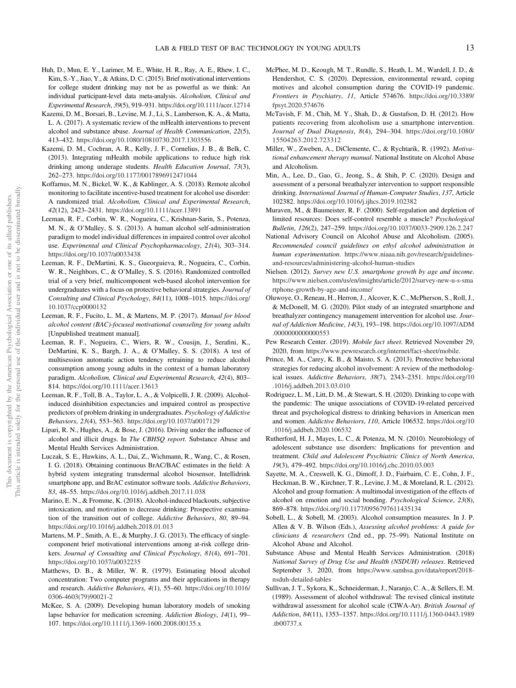- <span id="page-13-0"></span>Huh, D., Mun, E. Y., Larimer, M. E., White, H. R., Ray, A. E., Rhew, I. C., Kim, S.-Y., Jiao, Y., & Atkins, D. C. (2015). Brief motivational interventions for college student drinking may not be as powerful as we think: An individual participant-level data meta-analysis. Alcoholism, Clinical and Experimental Research, 39(5), 919–931. <https://doi.org/10.1111/acer.12714>
- Kazemi, D. M., Borsari, B., Levine, M. J., Li, S., Lamberson, K. A., & Matta, L. A. (2017). A systematic review of the mHealth interventions to prevent alcohol and substance abuse. Journal of Health Communication, 22(5), 413–432. <https://doi.org/10.1080/10810730.2017.1303556>
- Kazemi, D. M., Cochran, A. R., Kelly, J. F., Cornelius, J. B., & Belk, C. (2013). Integrating mHealth mobile applications to reduce high risk drinking among underage students. Health Education Journal, 73(3), 262–273. <https://doi.org/10.1177/0017896912471044>
- Koffarnus, M. N., Bickel, W. K., & Kablinger, A. S. (2018). Remote alcohol monitoring to facilitate incentive-based treatment for alcohol use disorder: A randomized trial. Alcoholism, Clinical and Experimental Research, 42(12), 2423–2431. <https://doi.org/10.1111/acer.13891>
- Leeman, R. F., Corbin, W. R., Nogueira, C., Krishnan-Sarin, S., Potenza, M. N., & O'Malley, S. S. (2013). A human alcohol self-administration paradigm to model individual differences in impaired control over alcohol use. Experimental and Clinical Psychopharmacology, 21(4), 303–314. <https://doi.org/10.1037/a0033438>
- Leeman, R. F., DeMartini, K. S., Gueorguieva, R., Nogueira, C., Corbin, W. R., Neighbors, C., & O'Malley, S. S. (2016). Randomized controlled trial of a very brief, multicomponent web-based alcohol intervention for undergraduates with a focus on protective behavioral strategies. Journal of Consulting and Clinical Psychology, 84(11), 1008–1015. [https://doi.org/](https://doi.org/10.1037/ccp0000132) [10.1037/ccp0000132](https://doi.org/10.1037/ccp0000132)
- Leeman, R. F., Fucito, L. M., & Martens, M. P. (2017). Manual for blood alcohol content (BAC)-focused motivational counseling for young adults [Unpublished treatment manual].
- Leeman, R. F., Nogueira, C., Wiers, R. W., Cousijn, J., Serafini, K., DeMartini, K. S., Bargh, J. A., & O'Malley, S. S. (2018). A test of multisession automatic action tendency retraining to reduce alcohol consumption among young adults in the context of a human laboratory paradigm. Alcoholism, Clinical and Experimental Research, 42(4), 803– 814. <https://doi.org/10.1111/acer.13613>
- Leeman, R. F., Toll, B. A., Taylor, L. A., & Volpicelli, J. R. (2009). Alcoholinduced disinhibition expectancies and impaired control as prospective predictors of problem drinking in undergraduates. Psychology of Addictive Behaviors, 23(4), 553–563. <https://doi.org/10.1037/a0017129>
- Lipari, R. N., Hughes, A., & Bose, J. (2016). Driving under the influence of alcohol and illicit drugs. In The CBHSQ report. Substance Abuse and Mental Health Services Administration.
- Luczak, S. E., Hawkins, A. L., Dai, Z., Wichmann, R., Wang, C., & Rosen, I. G. (2018). Obtaining continuous BrAC/BAC estimates in the field: A hybrid system integrating transdermal alcohol biosensor, Intellidrink smartphone app, and BrAC estimator software tools. Addictive Behaviors, 83, 48–55. <https://doi.org/10.1016/j.addbeh.2017.11.038>
- Marino, E. N., & Fromme, K. (2018). Alcohol-induced blackouts, subjective intoxication, and motivation to decrease drinking: Prospective examination of the transition out of college. Addictive Behaviors, 80, 89–94. <https://doi.org/10.1016/j.addbeh.2018.01.013>
- Martens, M. P., Smith, A. E., & Murphy, J. G. (2013). The efficacy of singlecomponent brief motivational interventions among at-risk college drinkers. Journal of Consulting and Clinical Psychology, 81(4), 691–701. <https://doi.org/10.1037/a0032235>
- Matthews, D. B., & Miller, W. R. (1979). Estimating blood alcohol concentration: Two computer programs and their applications in therapy and research. Addictive Behaviors, 4(1), 55–60. [https://doi.org/10.1016/](https://doi.org/10.1016/0306-4603(79)90021-2) [0306-4603\(79\)90021-2](https://doi.org/10.1016/0306-4603(79)90021-2)
- McKee, S. A. (2009). Developing human laboratory models of smoking lapse behavior for medication screening. Addiction Biology, 14(1), 99– 107. <https://doi.org/10.1111/j.1369-1600.2008.00135.x>
- McPhee, M. D., Keough, M. T., Rundle, S., Heath, L. M., Wardell, J. D., & Hendershot, C. S. (2020). Depression, environmental reward, coping motives and alcohol consumption during the COVID-19 pandemic. Frontiers in Psychiatry, 11, Article 574676. [https://doi.org/10.3389/](https://doi.org/10.3389/fpsyt.2020.574676) [fpsyt.2020.574676](https://doi.org/10.3389/fpsyt.2020.574676)
- McTavish, F. M., Chih, M. Y., Shah, D., & Gustafson, D. H. (2012). How patients recovering from alcoholism use a smartphone intervention. Journal of Dual Diagnosis, 8(4), 294–304. [https://doi.org/10.1080/](https://doi.org/10.1080/15504263.2012.723312) [15504263.2012.723312](https://doi.org/10.1080/15504263.2012.723312)
- Miller, W., Zweben, A., DiClemente, C., & Rychtarik, R. (1992). Motivational enhancement therapy manual. National Institute on Alcohol Abuse and Alcoholism.
- Min, A., Lee, D., Gao, G., Jeong, S., & Shih, P. C. (2020). Design and assessment of a personal breathalyzer intervention to support responsible drinking. International Journal of Human-Computer Studies, 137, Article 102382. <https://doi.org/10.1016/j.ijhcs.2019.102382>
- Muraven, M., & Baumeister, R. F. (2000). Self-regulation and depletion of limited resources: Does self-control resemble a muscle? Psychological Bulletin, 126(2), 247–259. <https://doi.org/10.1037/0033-2909.126.2.247>
- National Advisory Council on Alcohol Abuse and Alcoholism. (2005). Recommended council guidelines on ethyl alcohol administration in human experimentation. [https://www.niaaa.nih.gov/research/guidelines](http://www.niaaa.nih.gov/Resources/ResearchResources/job22)[and-resources/administering-alcohol-human-studies](http://www.niaaa.nih.gov/Resources/ResearchResources/job22)
- Nielsen. (2012). Survey new U.S. smartphone growth by age and income. [https://www.nielsen.com/us/en/insights/article/2012/survey-new-u-s-sma](http://www.nielsen.com/us/en/newswire/2012/survey-new-u-s-smartphone-growth-by-age-and-income) [rtphone-growth-by-age-and-income/](http://www.nielsen.com/us/en/newswire/2012/survey-new-u-s-smartphone-growth-by-age-and-income)
- Oluwoye, O., Reneau, H., Herron, J., Alcover, K. C., McPherson, S., Roll, J., & McDonell, M. G. (2020). Pilot study of an integrated smartphone and breathalyzer contingency management intervention for alcohol use. Journal of Addiction Medicine, 14(3), 193–198. [https://doi.org/10.1097/ADM](https://doi.org/10.1097/ADM.0000000000000553) [.0000000000000553](https://doi.org/10.1097/ADM.0000000000000553)
- Pew Research Center. (2019). Mobile fact sheet. Retrieved November 29, 2020, from <https://www.pewresearch.org/internet/fact-sheet/mobile>.
- Prince, M. A., Carey, K. B., & Maisto, S. A. (2013). Protective behavioral strategies for reducing alcohol involvement: A review of the methodological issues. Addictive Behaviors, 38(7), 2343–2351. [https://doi.org/10](https://doi.org/10.1016/j.addbeh.2013.03.010) [.1016/j.addbeh.2013.03.010](https://doi.org/10.1016/j.addbeh.2013.03.010)
- Rodriguez, L. M., Litt, D. M., & Stewart, S. H. (2020). Drinking to cope with the pandemic: The unique associations of COVID-19-related perceived threat and psychological distress to drinking behaviors in American men and women. Addictive Behaviors, 110, Article 106532. [https://doi.org/10](https://doi.org/10.1016/j.addbeh.2020.106532) [.1016/j.addbeh.2020.106532](https://doi.org/10.1016/j.addbeh.2020.106532)
- Rutherford, H. J., Mayes, L. C., & Potenza, M. N. (2010). Neurobiology of adolescent substance use disorders: Implications for prevention and treatment. Child and Adolescent Psychiatric Clinics of North America, 19(3), 479–492. <https://doi.org/10.1016/j.chc.2010.03.003>
- Sayette, M. A., Creswell, K. G., Dimoff, J. D., Fairbairn, C. E., Cohn, J. F., Heckman, B. W., Kirchner, T. R., Levine, J. M., & Moreland, R. L. (2012). Alcohol and group formation: A multimodal investigation of the effects of alcohol on emotion and social bonding. Psychological Science, 23(8), 869–878. <https://doi.org/10.1177/0956797611435134>
- Sobell, L., & Sobell, M. (2003). Alcohol consumption measures. In J. P. Allen & V. B. Wilson (Eds.), Assessing alcohol problems: A guide for clinicians & researchers (2nd ed., pp. 75–99). National Institute on Alcohol Abuse and Alcohol.
- Substance Abuse and Mental Health Services Administration. (2018) National Survey of Drug Use and Health (NSDUH) releases. Retrieved September 3, 2020, from [https://www.samhsa.gov/data/report/2018](https://www.samhsa.gov/data/report/2018-nsduh-detailed2018)-Please%20provide%20the%20exact%20website%20for%20reference%20) [nsduh-detailed-tables](https://www.samhsa.gov/data/report/2018-nsduh-detailed2018)-Please%20provide%20the%20exact%20website%20for%20reference%20)
- Sullivan, J. T., Sykora, K., Schneiderman, J., Naranjo, C. A., & Sellers, E. M. (1989). Assessment of alcohol withdrawal: The revised clinical institute withdrawal assessment for alcohol scale (CIWA-Ar). British Journal of Addiction, 84(11), 1353–1357. [https://doi.org/10.1111/j.1360-0443.1989](https://doi.org/10.1111/j.1360-0443.1989.tb00737.x) [.tb00737.x](https://doi.org/10.1111/j.1360-0443.1989.tb00737.x)